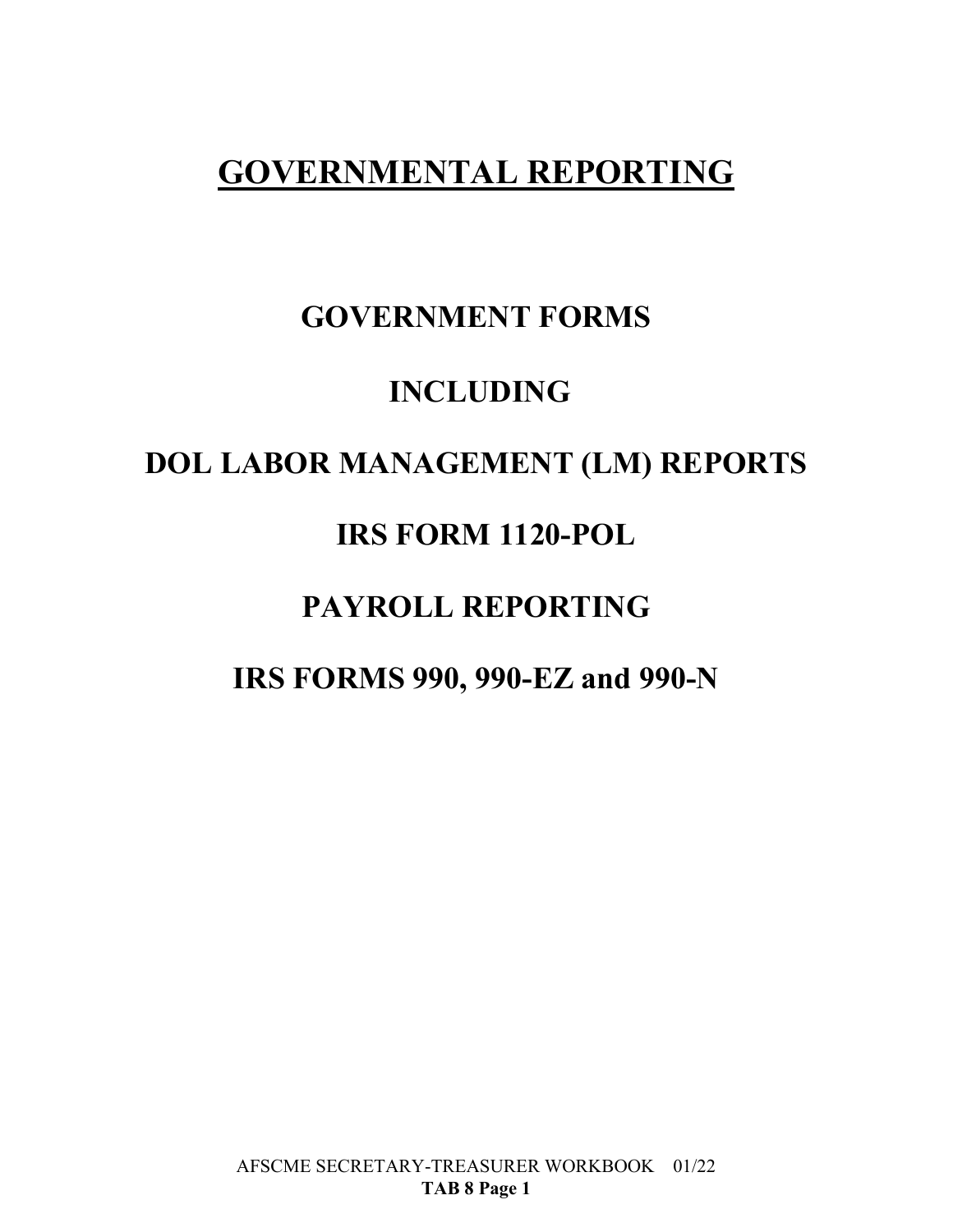# **GOVERNMENTAL REPORTING**

## **GOVERNMENT FORMS**

## **INCLUDING**

## **DOL LABOR MANAGEMENT (LM) REPORTS**

# **IRS FORM 1120-POL**

## **PAYROLL REPORTING**

## **IRS FORMS 990, 990-EZ and 990-N**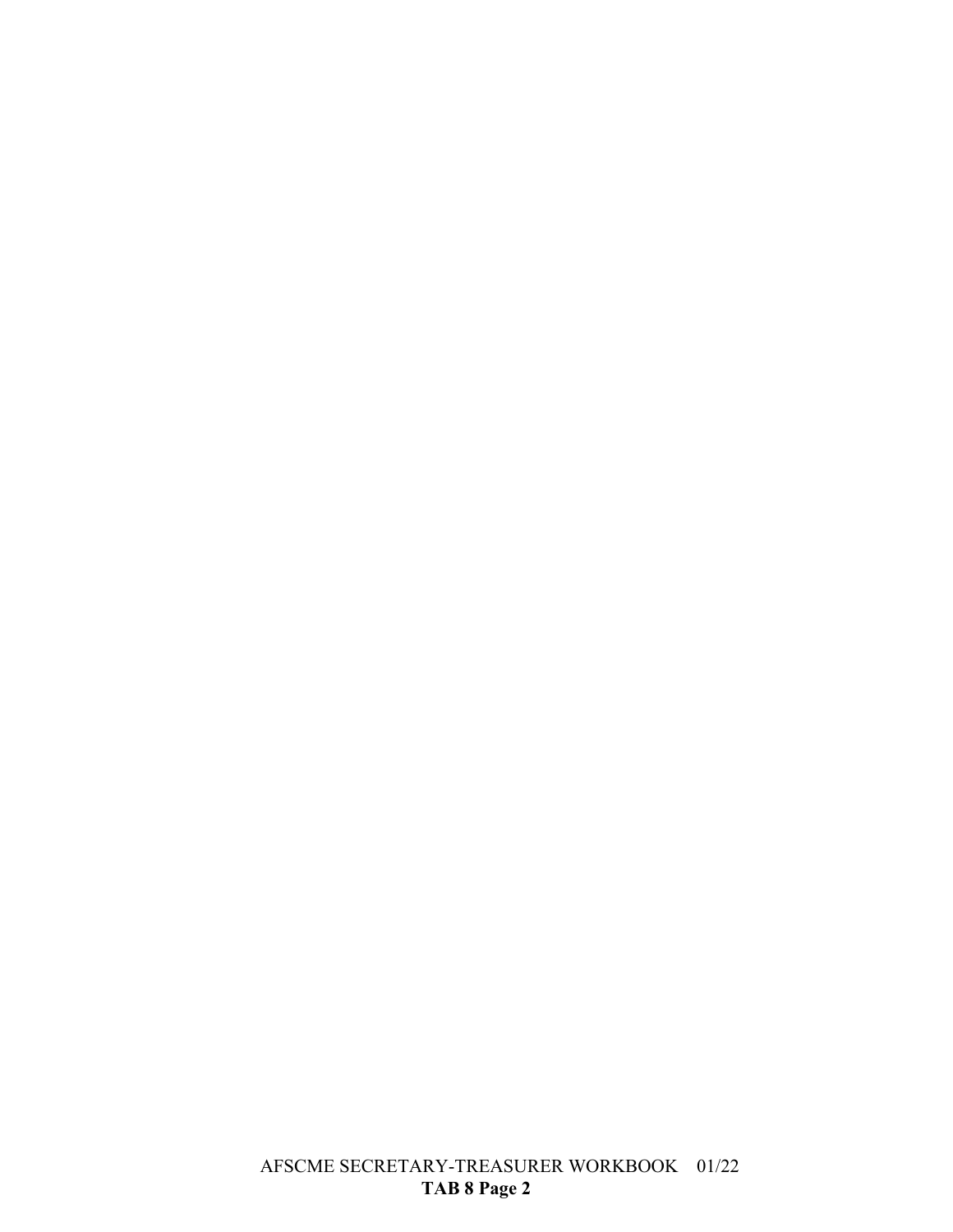## AFSCME SECRETARY-TREASURER WORKBOOK 01/22 **TAB 8 Page 2**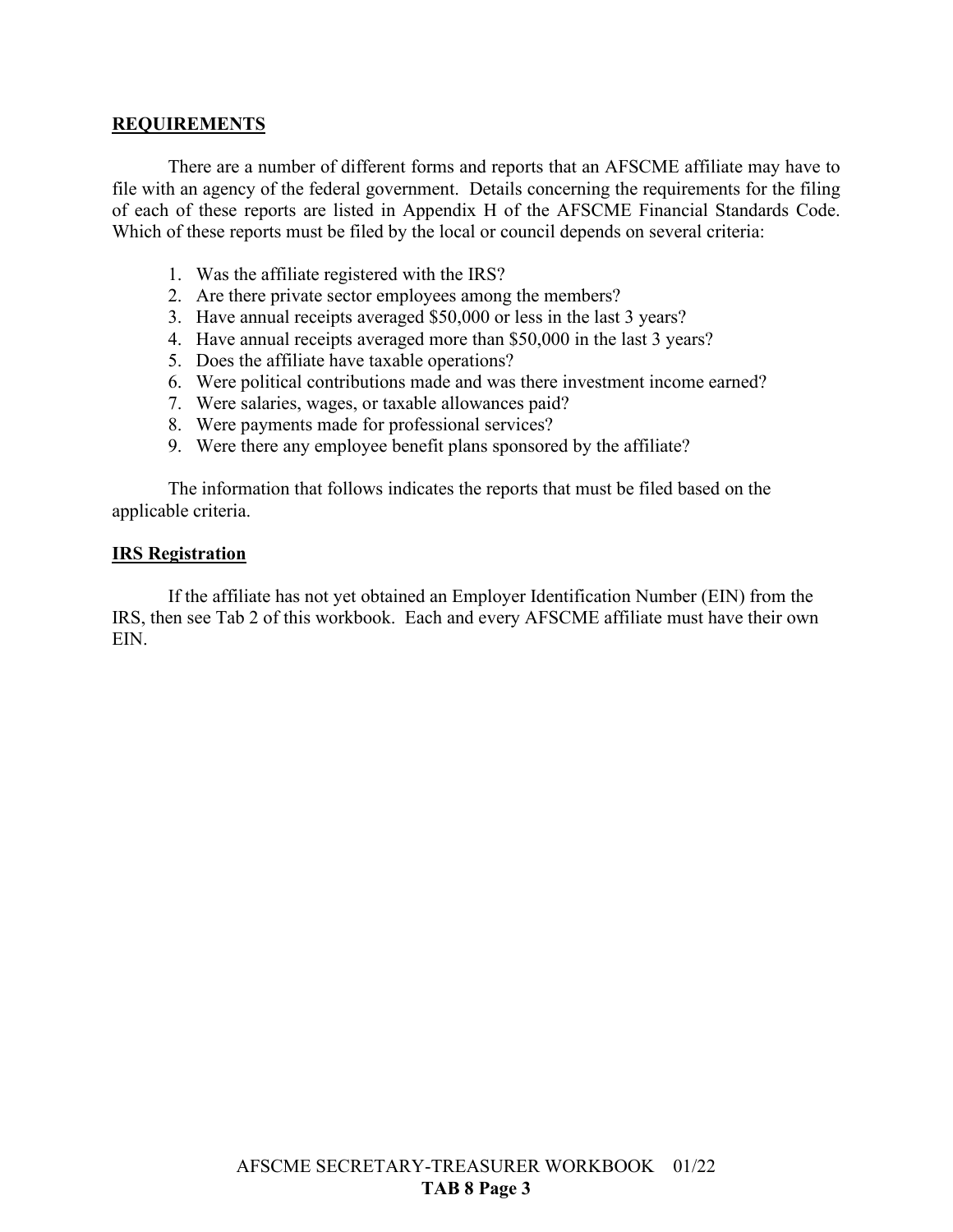#### **REQUIREMENTS**

There are a number of different forms and reports that an AFSCME affiliate may have to file with an agency of the federal government. Details concerning the requirements for the filing of each of these reports are listed in Appendix H of the AFSCME Financial Standards Code. Which of these reports must be filed by the local or council depends on several criteria:

- 1. Was the affiliate registered with the IRS?
- 2. Are there private sector employees among the members?
- 3. Have annual receipts averaged \$50,000 or less in the last 3 years?
- 4. Have annual receipts averaged more than \$50,000 in the last 3 years?
- 5. Does the affiliate have taxable operations?
- 6. Were political contributions made and was there investment income earned?
- 7. Were salaries, wages, or taxable allowances paid?
- 8. Were payments made for professional services?
- 9. Were there any employee benefit plans sponsored by the affiliate?

The information that follows indicates the reports that must be filed based on the applicable criteria.

#### **IRS Registration**

If the affiliate has not yet obtained an Employer Identification Number (EIN) from the IRS, then see Tab 2 of this workbook. Each and every AFSCME affiliate must have their own EIN.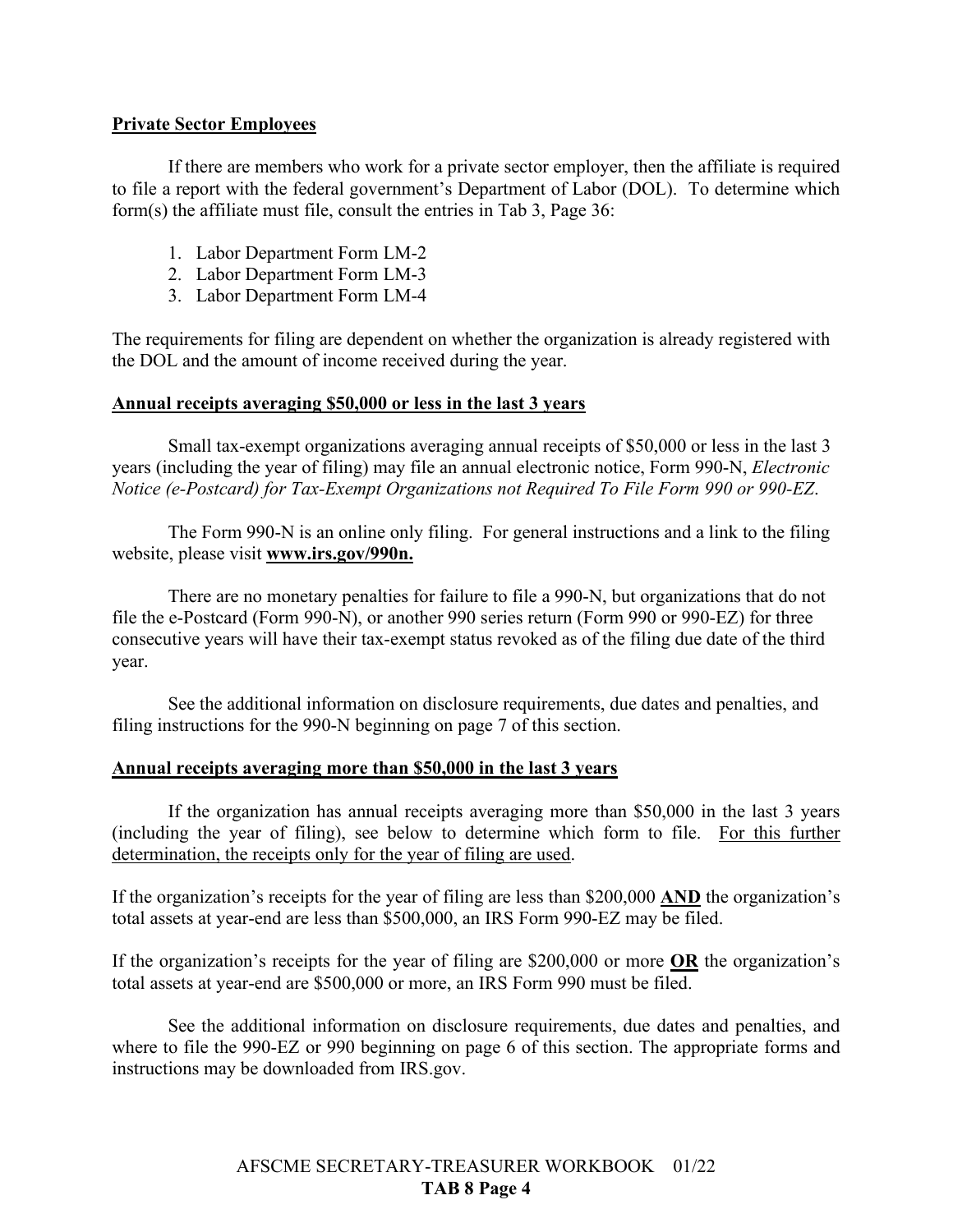#### **Private Sector Employees**

If there are members who work for a private sector employer, then the affiliate is required to file a report with the federal government's Department of Labor (DOL). To determine which form(s) the affiliate must file, consult the entries in Tab 3, Page 36:

- 1. Labor Department Form LM-2
- 2. Labor Department Form LM-3
- 3. Labor Department Form LM-4

The requirements for filing are dependent on whether the organization is already registered with the DOL and the amount of income received during the year.

#### **Annual receipts averaging \$50,000 or less in the last 3 years**

Small tax-exempt organizations averaging annual receipts of \$50,000 or less in the last 3 years (including the year of filing) may file an annual electronic notice, Form 990-N, *Electronic Notice (e-Postcard) for Tax-Exempt Organizations not Required To File Form 990 or 990-EZ*.

The Form 990-N is an online only filing. For general instructions and a link to the filing website, please visit **[www.irs.gov/990n.](http://www.irs.gov/990n)**

There are no monetary penalties for failure to file a 990-N, but organizations that do not file the e-Postcard (Form 990-N), or another 990 series return (Form 990 or 990-EZ) for three consecutive years will have their tax-exempt status revoked as of the filing due date of the third year.

See the additional information on disclosure requirements, due dates and penalties, and filing instructions for the 990-N beginning on page 7 of this section.

#### **Annual receipts averaging more than \$50,000 in the last 3 years**

If the organization has annual receipts averaging more than \$50,000 in the last 3 years (including the year of filing), see below to determine which form to file. For this further determination, the receipts only for the year of filing are used.

If the organization's receipts for the year of filing are less than \$200,000 **AND** the organization's total assets at year-end are less than \$500,000, an IRS Form 990-EZ may be filed.

If the organization's receipts for the year of filing are \$200,000 or more **OR** the organization's total assets at year-end are \$500,000 or more, an IRS Form 990 must be filed.

See the additional information on disclosure requirements, due dates and penalties, and where to file the 990-EZ or 990 beginning on page 6 of this section. The appropriate forms and instructions may be downloaded from IRS.gov.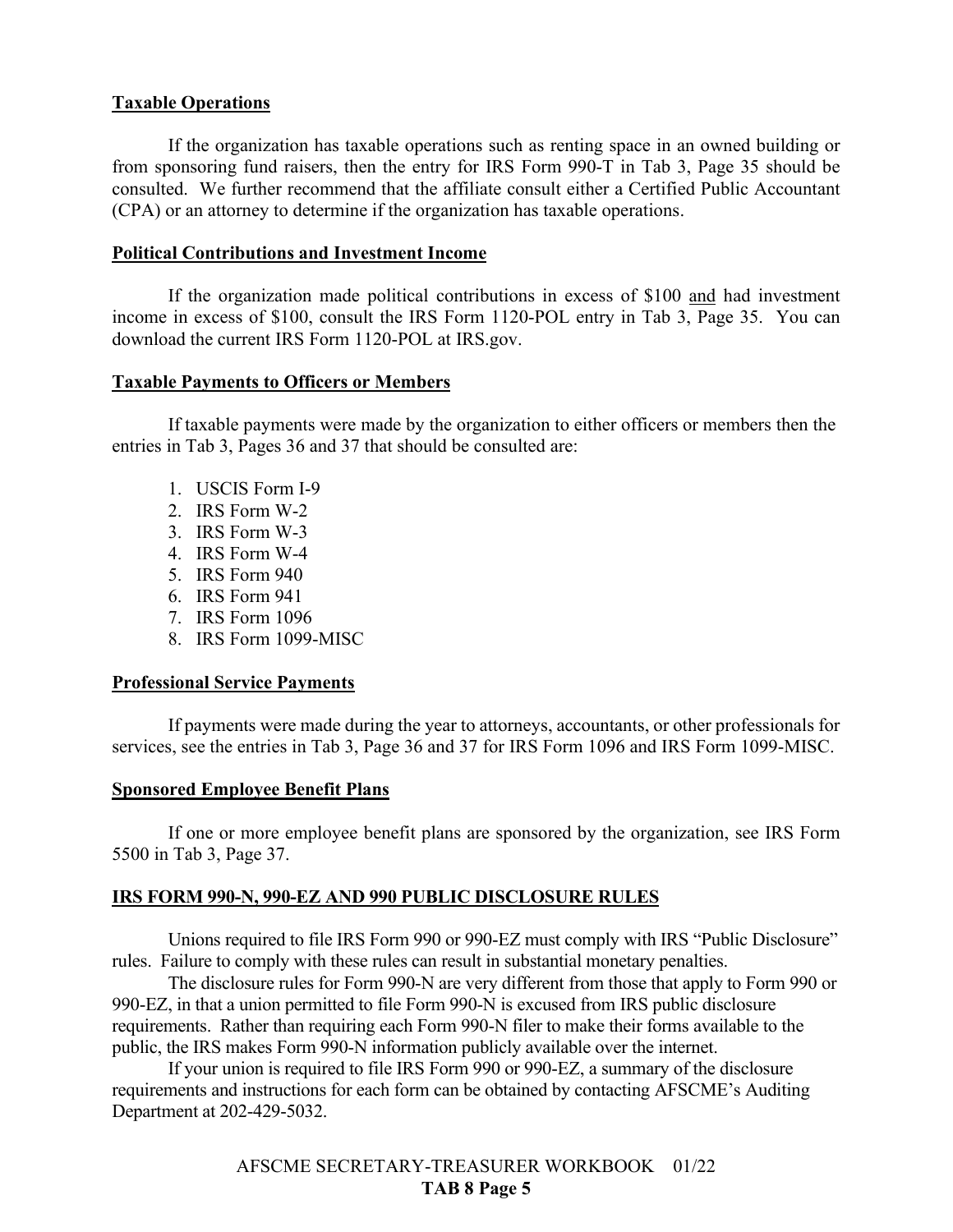#### **Taxable Operations**

If the organization has taxable operations such as renting space in an owned building or from sponsoring fund raisers, then the entry for IRS Form 990-T in Tab 3, Page 35 should be consulted. We further recommend that the affiliate consult either a Certified Public Accountant (CPA) or an attorney to determine if the organization has taxable operations.

#### **Political Contributions and Investment Income**

If the organization made political contributions in excess of \$100 and had investment income in excess of \$100, consult the IRS Form 1120-POL entry in Tab 3, Page 35. You can download the current IRS Form 1120-POL at IRS.gov.

#### **Taxable Payments to Officers or Members**

If taxable payments were made by the organization to either officers or members then the entries in Tab 3, Pages 36 and 37 that should be consulted are:

- 1. USCIS Form I-9
- 2. IRS Form W-2
- 3. IRS Form W-3
- 4. IRS Form W-4
- 5. IRS Form 940
- 6. IRS Form 941
- 7. IRS Form 1096
- 8. IRS Form 1099-MISC

#### **Professional Service Payments**

If payments were made during the year to attorneys, accountants, or other professionals for services, see the entries in Tab 3, Page 36 and 37 for IRS Form 1096 and IRS Form 1099-MISC.

#### **Sponsored Employee Benefit Plans**

If one or more employee benefit plans are sponsored by the organization, see IRS Form 5500 in Tab 3, Page 37.

#### **IRS FORM 990-N, 990-EZ AND 990 PUBLIC DISCLOSURE RULES**

Unions required to file IRS Form 990 or 990-EZ must comply with IRS "Public Disclosure" rules. Failure to comply with these rules can result in substantial monetary penalties.

The disclosure rules for Form 990-N are very different from those that apply to Form 990 or 990-EZ, in that a union permitted to file Form 990-N is excused from IRS public disclosure requirements. Rather than requiring each Form 990-N filer to make their forms available to the public, the IRS makes Form 990-N information publicly available over the internet.

If your union is required to file IRS Form 990 or 990-EZ, a summary of the disclosure requirements and instructions for each form can be obtained by contacting AFSCME's Auditing Department at 202-429-5032.

> AFSCME SECRETARY-TREASURER WORKBOOK 01/22 **TAB 8 Page 5**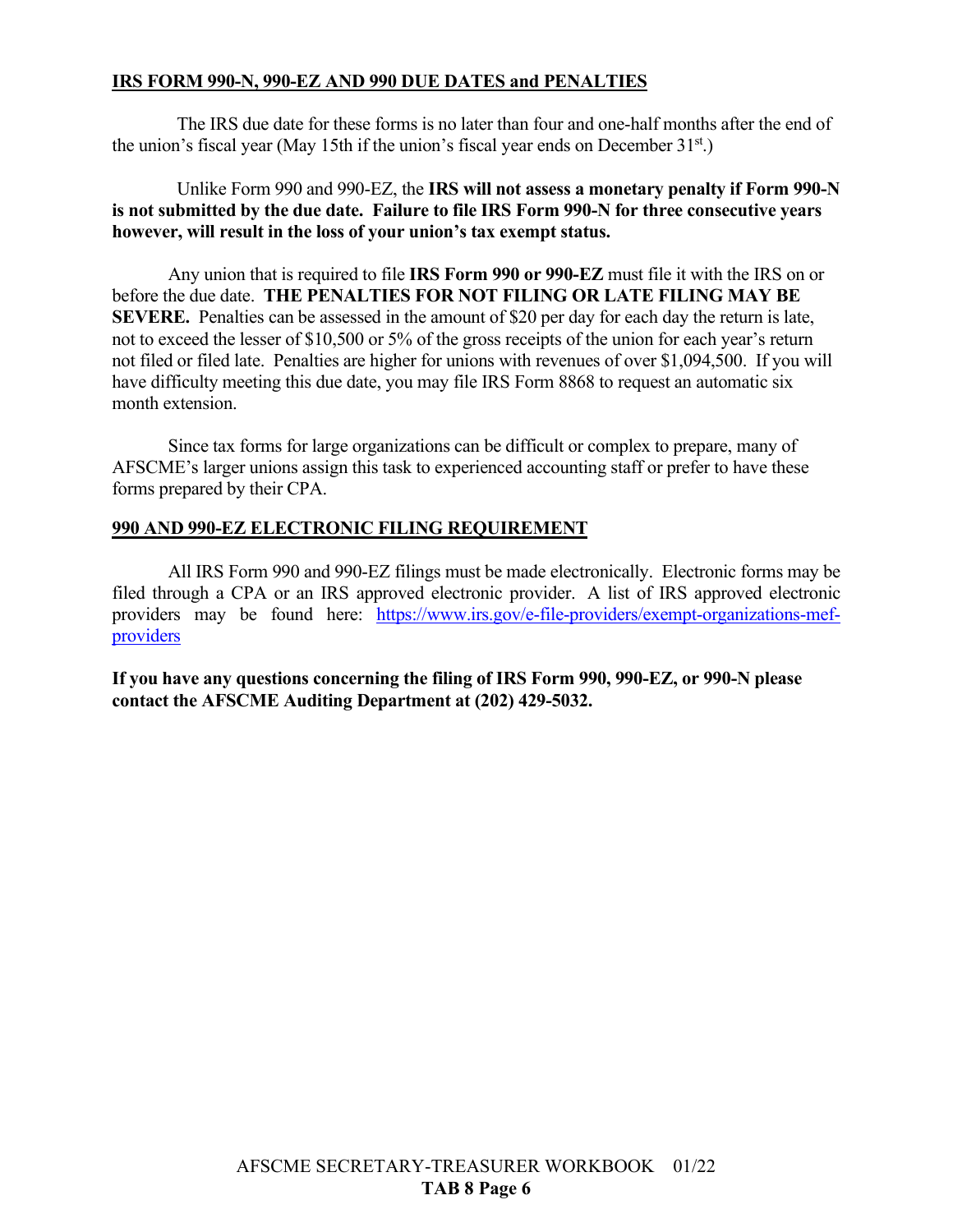## **IRS FORM 990-N, 990-EZ AND 990 DUE DATES and PENALTIES**

 The IRS due date for these forms is no later than four and one-half months after the end of the union's fiscal year (May 15th if the union's fiscal year ends on December  $31<sup>st</sup>$ .)

 Unlike Form 990 and 990-EZ, the **IRS will not assess a monetary penalty if Form 990-N is not submitted by the due date. Failure to file IRS Form 990-N for three consecutive years however, will result in the loss of your union's tax exempt status.**

Any union that is required to file **IRS Form 990 or 990-EZ** must file it with the IRS on or before the due date. **THE PENALTIES FOR NOT FILING OR LATE FILING MAY BE SEVERE.** Penalties can be assessed in the amount of \$20 per day for each day the return is late, not to exceed the lesser of \$10,500 or 5% of the gross receipts of the union for each year's return not filed or filed late. Penalties are higher for unions with revenues of over \$1,094,500. If you will have difficulty meeting this due date, you may file IRS Form 8868 to request an automatic six month extension.

Since tax forms for large organizations can be difficult or complex to prepare, many of AFSCME's larger unions assign this task to experienced accounting staff or prefer to have these forms prepared by their CPA.

## **990 AND 990-EZ ELECTRONIC FILING REQUIREMENT**

All IRS Form 990 and 990-EZ filings must be made electronically. Electronic forms may be filed through a CPA or an IRS approved electronic provider. A list of IRS approved electronic providers may be found here: [https://www.irs.gov/e-file-providers/exempt-organizations-mef](https://www.irs.gov/e-file-providers/exempt-organizations-mef-providers)[providers](https://www.irs.gov/e-file-providers/exempt-organizations-mef-providers)

**If you have any questions concerning the filing of IRS Form 990, 990-EZ, or 990-N please contact the AFSCME Auditing Department at (202) 429-5032.**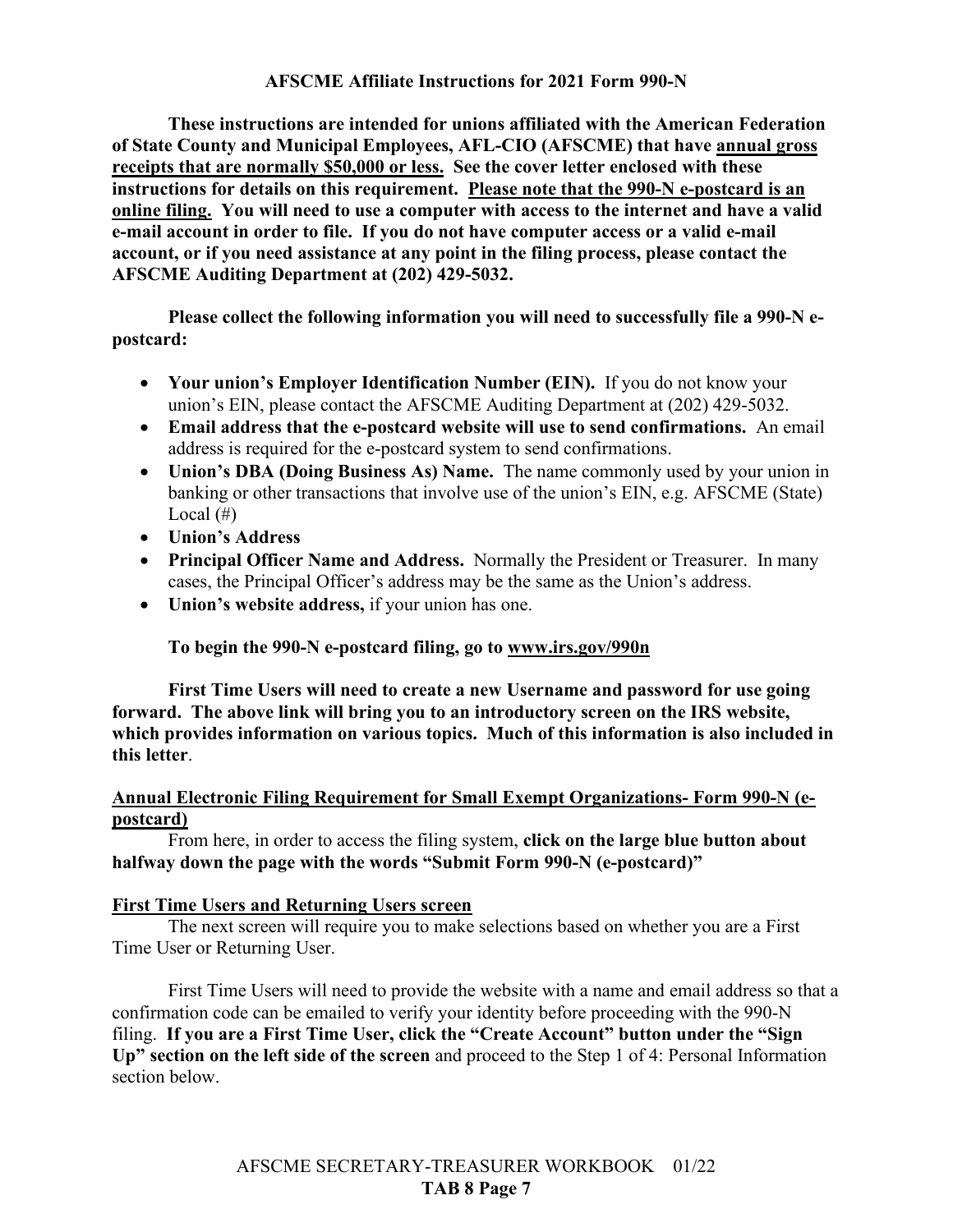#### **AFSCME Affiliate Instructions for 2021 Form 990-N**

**These instructions are intended for unions affiliated with the American Federation of State County and Municipal Employees, AFL-CIO (AFSCME) that have annual gross receipts that are normally \$50,000 or less. See the cover letter enclosed with these instructions for details on this requirement. Please note that the 990-N e-postcard is an online filing. You will need to use a computer with access to the internet and have a valid e-mail account in order to file. If you do not have computer access or a valid e-mail account, or if you need assistance at any point in the filing process, please contact the AFSCME Auditing Department at (202) 429-5032.**

**Please collect the following information you will need to successfully file a 990-N epostcard:**

- **Your union's Employer Identification Number (EIN).** If you do not know your union's EIN, please contact the AFSCME Auditing Department at (202) 429-5032.
- **Email address that the e-postcard website will use to send confirmations.** An email address is required for the e-postcard system to send confirmations.
- **Union's DBA (Doing Business As) Name.** The name commonly used by your union in banking or other transactions that involve use of the union's EIN, e.g. AFSCME (State) Local  $(\#)$
- **Union's Address**
- **Principal Officer Name and Address.** Normally the President or Treasurer. In many cases, the Principal Officer's address may be the same as the Union's address.
- **Union's website address,** if your union has one.

## **To begin the 990-N e-postcard filing, go to [www.irs.gov/990n](http://www.irs.gov/990n)**

**First Time Users will need to create a new Username and password for use going forward. The above link will bring you to an introductory screen on the IRS website, which provides information on various topics. Much of this information is also included in this letter**.

#### **Annual Electronic Filing Requirement for Small Exempt Organizations- Form 990-N (epostcard)**

From here, in order to access the filing system, **click on the large blue button about halfway down the page with the words "Submit Form 990-N (e-postcard)"**

#### **First Time Users and Returning Users screen**

The next screen will require you to make selections based on whether you are a First Time User or Returning User.

First Time Users will need to provide the website with a name and email address so that a confirmation code can be emailed to verify your identity before proceeding with the 990-N filing. **If you are a First Time User, click the "Create Account" button under the "Sign Up" section on the left side of the screen** and proceed to the Step 1 of 4: Personal Information section below.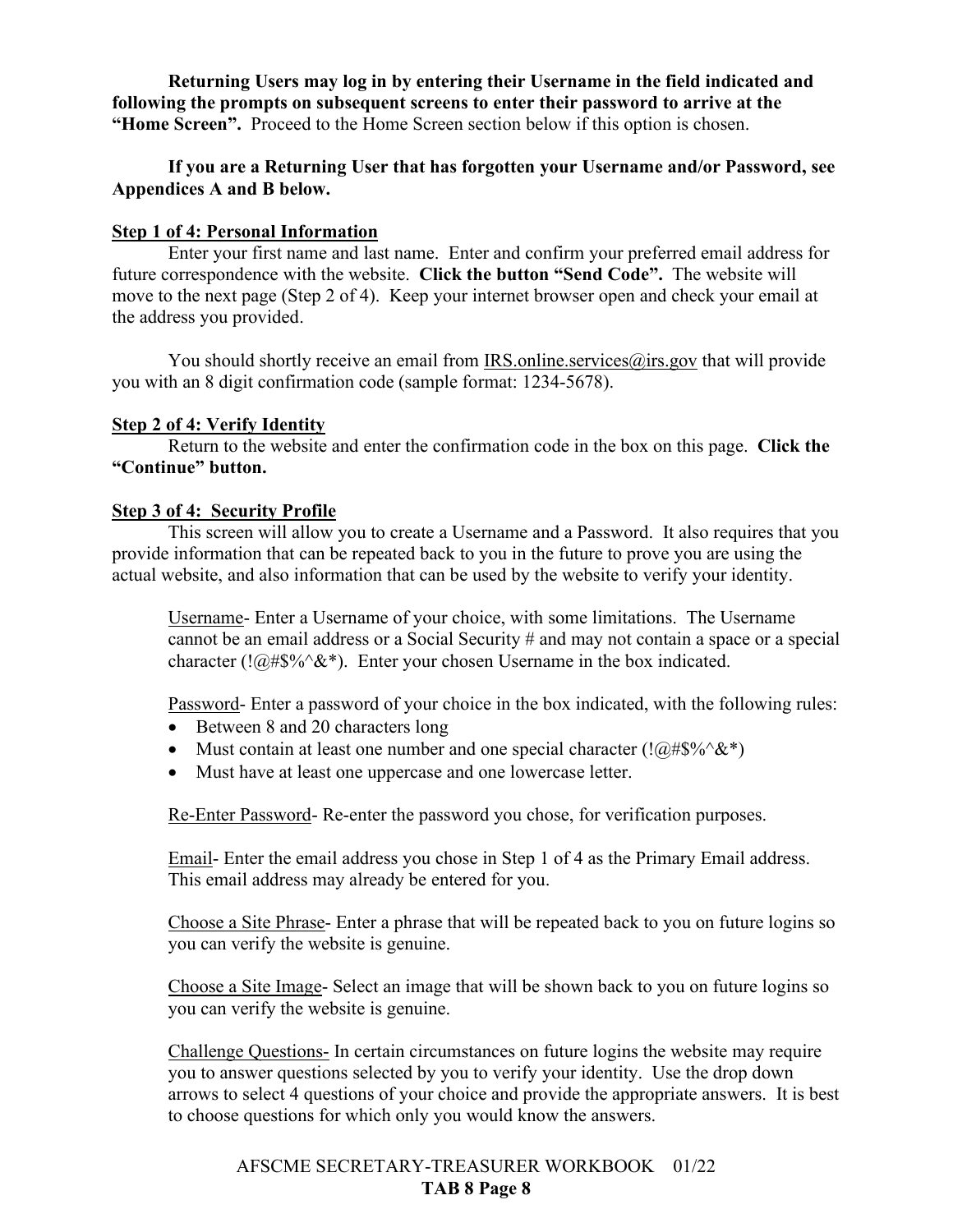**Returning Users may log in by entering their Username in the field indicated and following the prompts on subsequent screens to enter their password to arrive at the "Home Screen".** Proceed to the Home Screen section below if this option is chosen.

**If you are a Returning User that has forgotten your Username and/or Password, see Appendices A and B below.**

#### **Step 1 of 4: Personal Information**

Enter your first name and last name. Enter and confirm your preferred email address for future correspondence with the website. **Click the button "Send Code".** The website will move to the next page (Step 2 of 4). Keep your internet browser open and check your email at the address you provided.

You should shortly receive an email from IRS.online.services $@$  irs.gov that will provide you with an 8 digit confirmation code (sample format: 1234-5678).

#### **Step 2 of 4: Verify Identity**

Return to the website and enter the confirmation code in the box on this page. **Click the "Continue" button.**

#### **Step 3 of 4: Security Profile**

This screen will allow you to create a Username and a Password. It also requires that you provide information that can be repeated back to you in the future to prove you are using the actual website, and also information that can be used by the website to verify your identity.

Username- Enter a Username of your choice, with some limitations. The Username cannot be an email address or a Social Security # and may not contain a space or a special character (! $@#\$\%^{\wedge} \&^*$ ). Enter your chosen Username in the box indicated.

Password- Enter a password of your choice in the box indicated, with the following rules:

- Between 8 and 20 characters long
- Must contain at least one number and one special character  $(!(\partial/\partial \mathcal{H})^8)(\partial \mathcal{H})$
- Must have at least one uppercase and one lowercase letter.

Re-Enter Password- Re-enter the password you chose, for verification purposes.

Email- Enter the email address you chose in Step 1 of 4 as the Primary Email address. This email address may already be entered for you.

Choose a Site Phrase- Enter a phrase that will be repeated back to you on future logins so you can verify the website is genuine.

Choose a Site Image- Select an image that will be shown back to you on future logins so you can verify the website is genuine.

Challenge Questions- In certain circumstances on future logins the website may require you to answer questions selected by you to verify your identity. Use the drop down arrows to select 4 questions of your choice and provide the appropriate answers. It is best to choose questions for which only you would know the answers.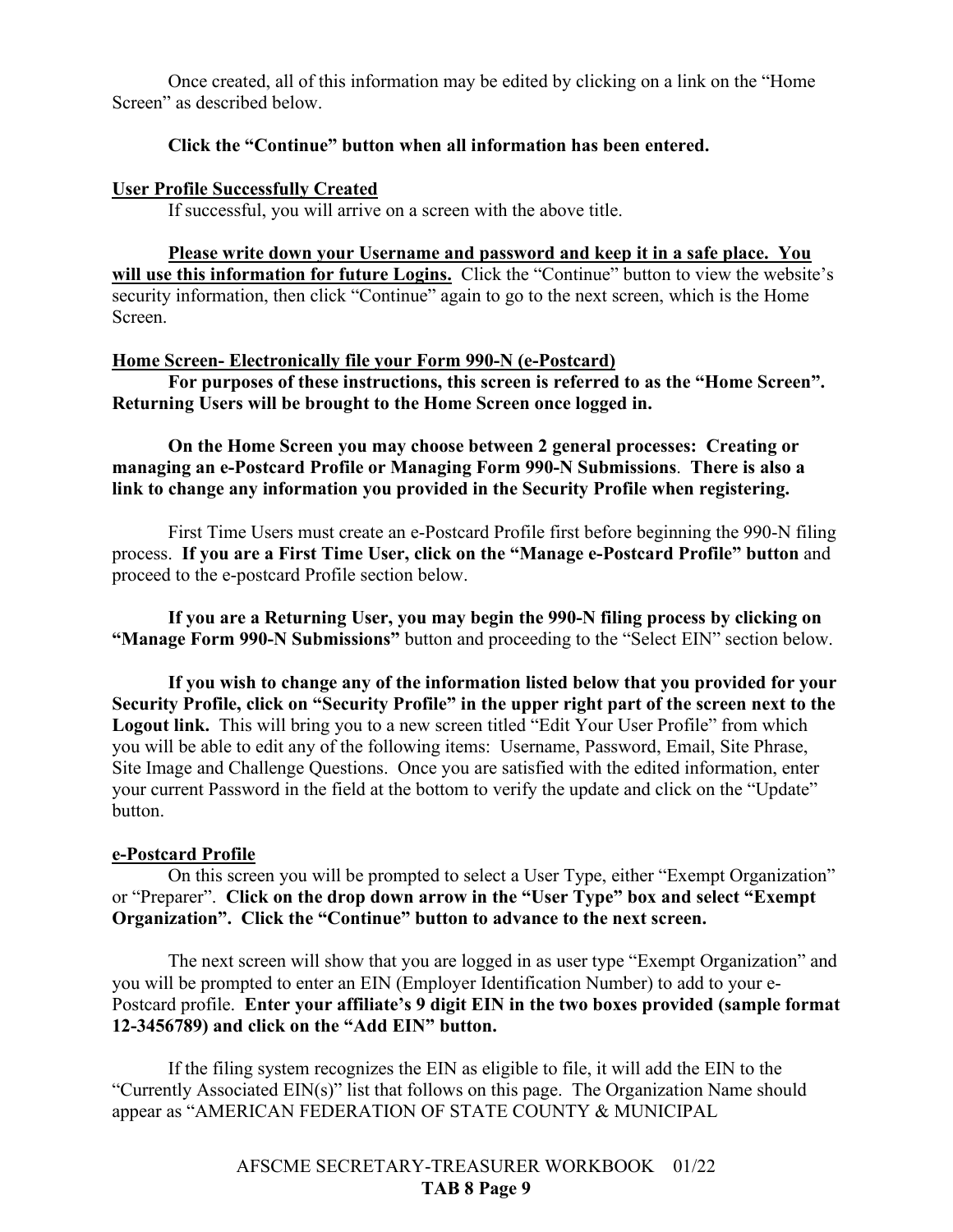Once created, all of this information may be edited by clicking on a link on the "Home Screen" as described below.

#### **Click the "Continue" button when all information has been entered.**

#### **User Profile Successfully Created**

If successful, you will arrive on a screen with the above title.

**Please write down your Username and password and keep it in a safe place. You**  will use this information for future Logins. Click the "Continue" button to view the website's security information, then click "Continue" again to go to the next screen, which is the Home Screen.

## **Home Screen- Electronically file your Form 990-N (e-Postcard)**

**For purposes of these instructions, this screen is referred to as the "Home Screen". Returning Users will be brought to the Home Screen once logged in.**

**On the Home Screen you may choose between 2 general processes: Creating or managing an e-Postcard Profile or Managing Form 990-N Submissions**. **There is also a link to change any information you provided in the Security Profile when registering.**

First Time Users must create an e-Postcard Profile first before beginning the 990-N filing process. **If you are a First Time User, click on the "Manage e-Postcard Profile" button** and proceed to the e-postcard Profile section below.

**If you are a Returning User, you may begin the 990-N filing process by clicking on "Manage Form 990-N Submissions"** button and proceeding to the "Select EIN" section below.

**If you wish to change any of the information listed below that you provided for your Security Profile, click on "Security Profile" in the upper right part of the screen next to the Logout link.** This will bring you to a new screen titled "Edit Your User Profile" from which you will be able to edit any of the following items: Username, Password, Email, Site Phrase, Site Image and Challenge Questions. Once you are satisfied with the edited information, enter your current Password in the field at the bottom to verify the update and click on the "Update" button.

## **e-Postcard Profile**

On this screen you will be prompted to select a User Type, either "Exempt Organization" or "Preparer". **Click on the drop down arrow in the "User Type" box and select "Exempt Organization". Click the "Continue" button to advance to the next screen.**

The next screen will show that you are logged in as user type "Exempt Organization" and you will be prompted to enter an EIN (Employer Identification Number) to add to your e-Postcard profile. **Enter your affiliate's 9 digit EIN in the two boxes provided (sample format 12-3456789) and click on the "Add EIN" button.**

If the filing system recognizes the EIN as eligible to file, it will add the EIN to the "Currently Associated EIN(s)" list that follows on this page. The Organization Name should appear as "AMERICAN FEDERATION OF STATE COUNTY & MUNICIPAL

> AFSCME SECRETARY-TREASURER WORKBOOK 01/22 **TAB 8 Page 9**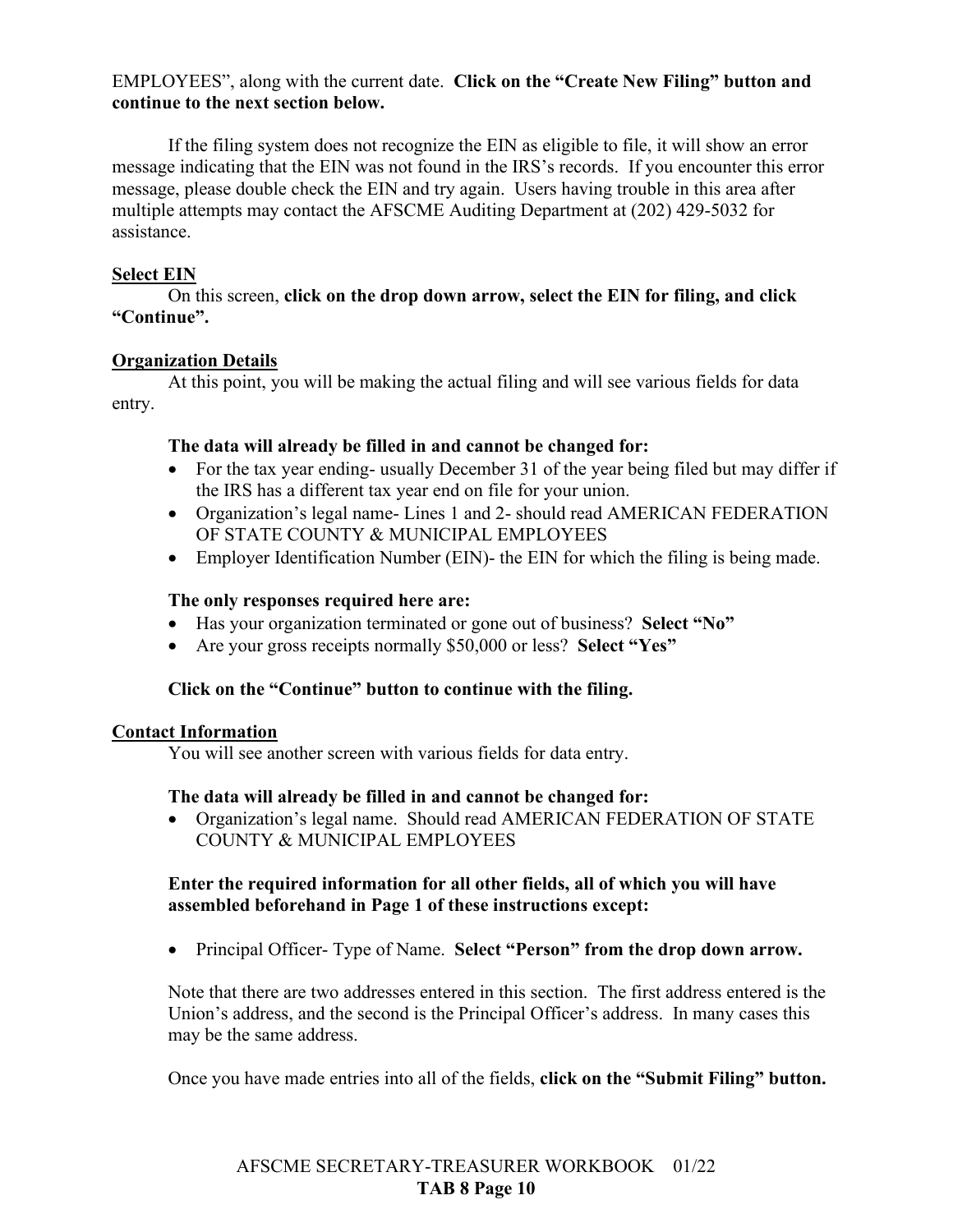#### EMPLOYEES", along with the current date. **Click on the "Create New Filing" button and continue to the next section below.**

If the filing system does not recognize the EIN as eligible to file, it will show an error message indicating that the EIN was not found in the IRS's records. If you encounter this error message, please double check the EIN and try again. Users having trouble in this area after multiple attempts may contact the AFSCME Auditing Department at (202) 429-5032 for assistance.

### **Select EIN**

On this screen, **click on the drop down arrow, select the EIN for filing, and click "Continue".** 

#### **Organization Details**

At this point, you will be making the actual filing and will see various fields for data entry.

#### **The data will already be filled in and cannot be changed for:**

- For the tax year ending-usually December 31 of the year being filed but may differ if the IRS has a different tax year end on file for your union.
- Organization's legal name-Lines 1 and 2- should read AMERICAN FEDERATION OF STATE COUNTY & MUNICIPAL EMPLOYEES
- Employer Identification Number (EIN)- the EIN for which the filing is being made.

#### **The only responses required here are:**

- Has your organization terminated or gone out of business? **Select "No"**
- Are your gross receipts normally \$50,000 or less? **Select "Yes"**

#### **Click on the "Continue" button to continue with the filing.**

#### **Contact Information**

You will see another screen with various fields for data entry.

#### **The data will already be filled in and cannot be changed for:**

• Organization's legal name. Should read AMERICAN FEDERATION OF STATE COUNTY & MUNICIPAL EMPLOYEES

#### **Enter the required information for all other fields, all of which you will have assembled beforehand in Page 1 of these instructions except:**

• Principal Officer- Type of Name. **Select "Person" from the drop down arrow.**

Note that there are two addresses entered in this section. The first address entered is the Union's address, and the second is the Principal Officer's address. In many cases this may be the same address.

Once you have made entries into all of the fields, **click on the "Submit Filing" button.**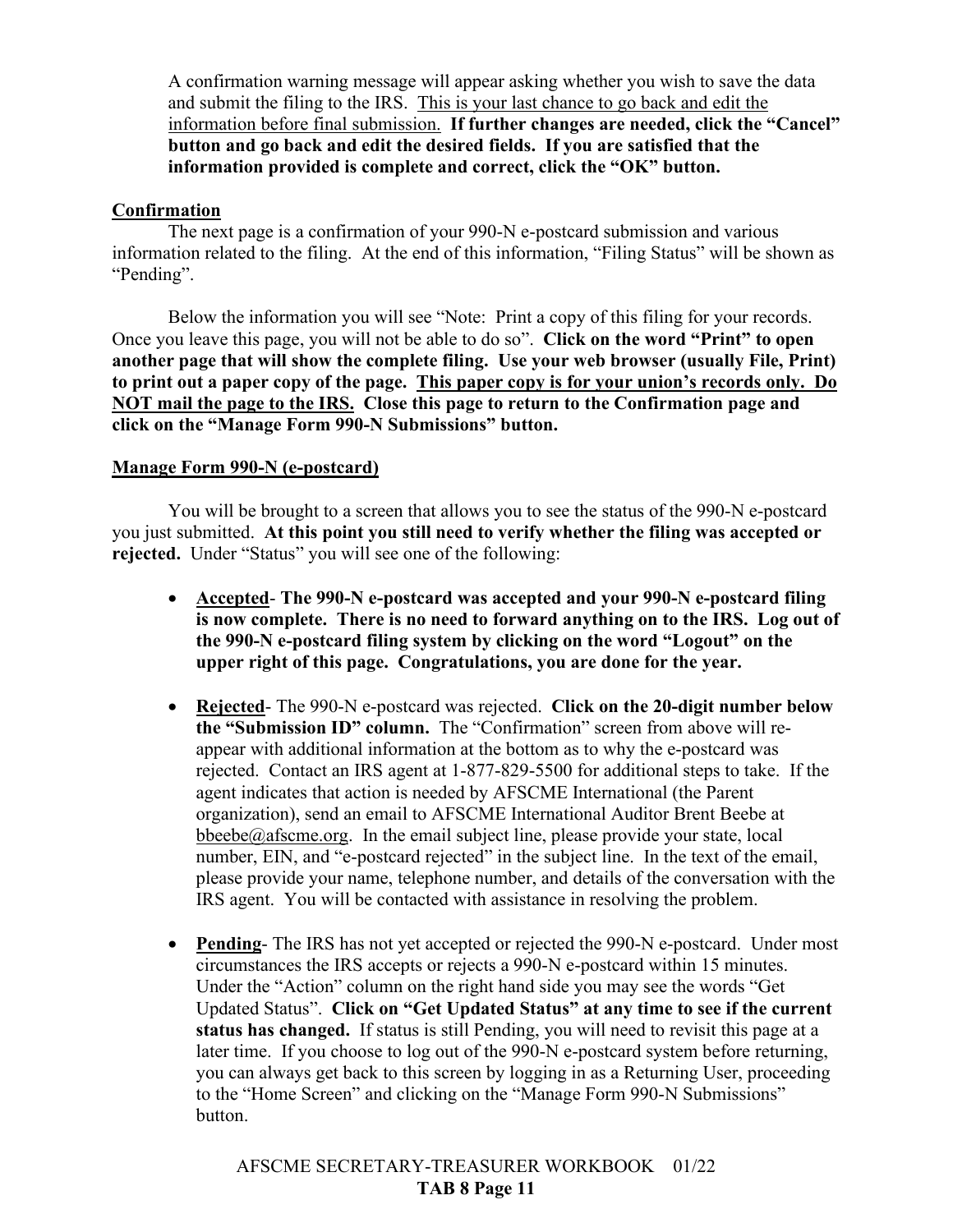A confirmation warning message will appear asking whether you wish to save the data and submit the filing to the IRS. This is your last chance to go back and edit the information before final submission. **If further changes are needed, click the "Cancel" button and go back and edit the desired fields. If you are satisfied that the information provided is complete and correct, click the "OK" button.**

#### **Confirmation**

The next page is a confirmation of your 990-N e-postcard submission and various information related to the filing. At the end of this information, "Filing Status" will be shown as "Pending".

Below the information you will see "Note: Print a copy of this filing for your records. Once you leave this page, you will not be able to do so". **Click on the word "Print" to open another page that will show the complete filing. Use your web browser (usually File, Print) to print out a paper copy of the page. This paper copy is for your union's records only. Do NOT mail the page to the IRS. Close this page to return to the Confirmation page and click on the "Manage Form 990-N Submissions" button.**

#### **Manage Form 990-N (e-postcard)**

You will be brought to a screen that allows you to see the status of the 990-N e-postcard you just submitted. **At this point you still need to verify whether the filing was accepted or rejected.** Under "Status" you will see one of the following:

- **Accepted The 990-N e-postcard was accepted and your 990-N e-postcard filing is now complete. There is no need to forward anything on to the IRS. Log out of the 990-N e-postcard filing system by clicking on the word "Logout" on the upper right of this page. Congratulations, you are done for the year.**
- **Rejected** The 990-N e-postcard was rejected. **Click on the 20-digit number below the "Submission ID" column.** The "Confirmation" screen from above will reappear with additional information at the bottom as to why the e-postcard was rejected. Contact an IRS agent at 1-877-829-5500 for additional steps to take. If the agent indicates that action is needed by AFSCME International (the Parent organization), send an email to AFSCME International Auditor Brent Beebe at [bbeebe@afscme.org.](mailto:bbeebe@afscme.org) In the email subject line, please provide your state, local number, EIN, and "e-postcard rejected" in the subject line. In the text of the email, please provide your name, telephone number, and details of the conversation with the IRS agent. You will be contacted with assistance in resolving the problem.
- **Pending** The IRS has not yet accepted or rejected the 990-N e-postcard. Under most circumstances the IRS accepts or rejects a 990-N e-postcard within 15 minutes. Under the "Action" column on the right hand side you may see the words "Get Updated Status". **Click on "Get Updated Status" at any time to see if the current status has changed.** If status is still Pending, you will need to revisit this page at a later time. If you choose to log out of the 990-N e-postcard system before returning, you can always get back to this screen by logging in as a Returning User, proceeding to the "Home Screen" and clicking on the "Manage Form 990-N Submissions" button.